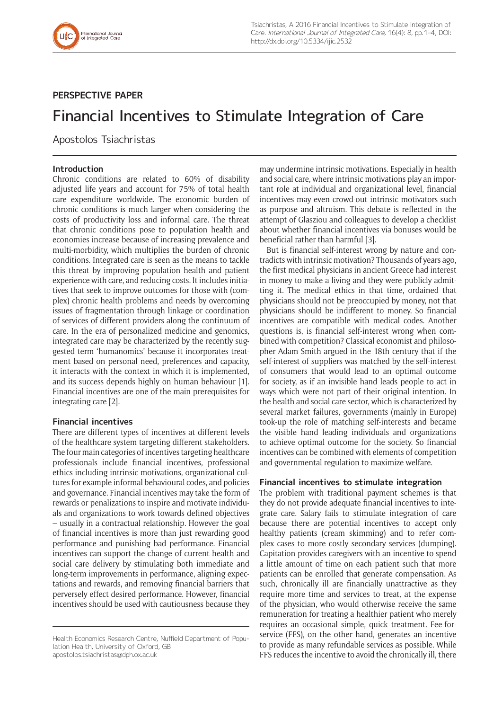

## **PERSPECTIVE PAPER**

# Financial Incentives to Stimulate Integration of Care

Apostolos Tsiachristas

## **Introduction**

Chronic conditions are related to 60% of disability adjusted life years and account for 75% of total health care expenditure worldwide. The economic burden of chronic conditions is much larger when considering the costs of productivity loss and informal care. The threat that chronic conditions pose to population health and economies increase because of increasing prevalence and multi-morbidity, which multiplies the burden of chronic conditions. Integrated care is seen as the means to tackle this threat by improving population health and patient experience with care, and reducing costs. It includes initiatives that seek to improve outcomes for those with (complex) chronic health problems and needs by overcoming issues of fragmentation through linkage or coordination of services of different providers along the continuum of care. In the era of personalized medicine and genomics, integrated care may be characterized by the recently suggested term 'humanomics' because it incorporates treatment based on personal need, preferences and capacity, it interacts with the context in which it is implemented, and its success depends highly on human behaviour [1]. Financial incentives are one of the main prerequisites for integrating care [2].

## **Financial incentives**

There are different types of incentives at different levels of the healthcare system targeting different stakeholders. The four main categories of incentives targeting healthcare professionals include financial incentives, professional ethics including intrinsic motivations, organizational cultures for example informal behavioural codes, and policies and governance. Financial incentives may take the form of rewards or penalizations to inspire and motivate individuals and organizations to work towards defined objectives – usually in a contractual relationship. However the goal of financial incentives is more than just rewarding good performance and punishing bad performance. Financial incentives can support the change of current health and social care delivery by stimulating both immediate and long-term improvements in performance, aligning expectations and rewards, and removing financial barriers that perversely effect desired performance. However, financial incentives should be used with cautiousness because they

[apostolos.tsiachristas@dph.ox.ac.uk](mailto:apostolos.tsiachristas@dph.ox.ac.uk)

may undermine intrinsic motivations. Especially in health and social care, where intrinsic motivations play an important role at individual and organizational level, financial incentives may even crowd-out intrinsic motivators such as purpose and altruism. This debate is reflected in the attempt of Glasziou and colleagues to develop a checklist about whether financial incentives via bonuses would be beneficial rather than harmful [3].

But is financial self-interest wrong by nature and contradicts with intrinsic motivation? Thousands of years ago, the first medical physicians in ancient Greece had interest in money to make a living and they were publicly admitting it. The medical ethics in that time, ordained that physicians should not be preoccupied by money, not that physicians should be indifferent to money. So financial incentives are compatible with medical codes. Another questions is, is financial self-interest wrong when combined with competition? Classical economist and philosopher Adam Smith argued in the 18th century that if the self-interest of suppliers was matched by the self-interest of consumers that would lead to an optimal outcome for society, as if an invisible hand leads people to act in ways which were not part of their original intention. In the health and social care sector, which is characterized by several market failures, governments (mainly in Europe) took-up the role of matching self-interests and became the visible hand leading individuals and organizations to achieve optimal outcome for the society. So financial incentives can be combined with elements of competition and governmental regulation to maximize welfare.

## **Financial incentives to stimulate integration**

The problem with traditional payment schemes is that they do not provide adequate financial incentives to integrate care. Salary fails to stimulate integration of care because there are potential incentives to accept only healthy patients (cream skimming) and to refer complex cases to more costly secondary services (dumping). Capitation provides caregivers with an incentive to spend a little amount of time on each patient such that more patients can be enrolled that generate compensation. As such, chronically ill are financially unattractive as they require more time and services to treat, at the expense of the physician, who would otherwise receive the same remuneration for treating a healthier patient who merely requires an occasional simple, quick treatment. Fee-forservice (FFS), on the other hand, generates an incentive to provide as many refundable services as possible. While FFS reduces the incentive to avoid the chronically ill, there

Health Economics Research Centre, Nuffield Department of Population Health, University of Oxford, GB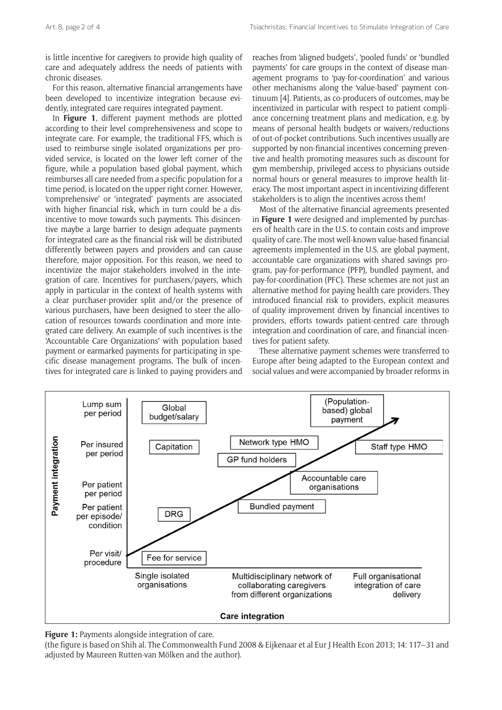is little incentive for caregivers to provide high quality of care and adequately address the needs of patients with chronic diseases.

For this reason, alternative financial arrangements have been developed to incentivize integration because evidently, integrated care requires integrated payment.

In **Figure 1**, different payment methods are plotted according to their level comprehensiveness and scope to integrate care. For example, the traditional FFS, which is used to reimburse single isolated organizations per provided service, is located on the lower left corner of the figure, while a population based global payment, which reimburses all care needed from a specific population for a time period, is located on the upper right corner. However, 'comprehensive' or 'integrated' payments are associated with higher financial risk, which in turn could be a disincentive to move towards such payments. This disincentive maybe a large barrier to design adequate payments for integrated care as the financial risk will be distributed differently between payers and providers and can cause therefore, major opposition. For this reason, we need to incentivize the major stakeholders involved in the integration of care. Incentives for purchasers/payers, which apply in particular in the context of health systems with a clear purchaser-provider split and/or the presence of various purchasers, have been designed to steer the allocation of resources towards coordination and more integrated care delivery. An example of such incentives is the 'Accountable Care Organizations' with population based payment or earmarked payments for participating in specific disease management programs. The bulk of incentives for integrated care is linked to paying providers and

reaches from 'aligned budgets', 'pooled funds' or 'bundled payments' for care groups in the context of disease management programs to 'pay-for-coordination' and various other mechanisms along the 'value-based' payment continuum [4]. Patients, as co-producers of outcomes, may be incentivized in particular with respect to patient compliance concerning treatment plans and medication, e.g. by means of personal health budgets or waivers/reductions of out-of-pocket contributions. Such incentives usually are supported by non-financial incentives concerning preventive and health promoting measures such as discount for gym membership, privileged access to physicians outside normal hours or general measures to improve health literacy. The most important aspect in incentivizing different stakeholders is to align the incentives across them!

Most of the alternative financial agreements presented in **Figure 1** were designed and implemented by purchasers of health care in the U.S. to contain costs and improve quality of care. The most well-known value-based financial agreements implemented in the U.S. are global payment, accountable care organizations with shared savings program, pay-for-performance (PFP), bundled payment, and pay-for-coordination (PFC). These schemes are not just an alternative method for paying health care providers. They introduced financial risk to providers, explicit measures of quality improvement driven by financial incentives to providers, efforts towards patient-centred care through integration and coordination of care, and financial incentives for patient safety.

These alternative payment schemes were transferred to Europe after being adapted to the European context and social values and were accompanied by broader reforms in



**Figure 1:** Payments alongside integration of care.

(the figure is based on Shih al. The Commonwealth Fund 2008 & Eijkenaar et al Eur J Health Econ 2013; 14: 117–31 and adjusted by Maureen Rutten-van Mölken and the author).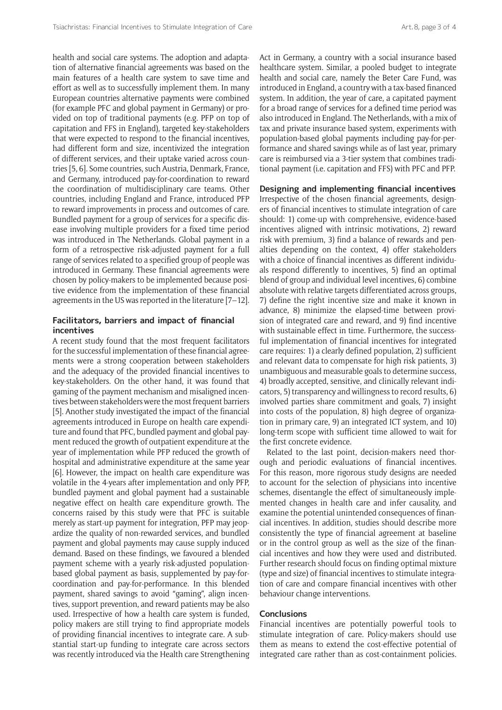health and social care systems. The adoption and adaptation of alternative financial agreements was based on the main features of a health care system to save time and effort as well as to successfully implement them. In many European countries alternative payments were combined (for example PFC and global payment in Germany) or provided on top of traditional payments (e.g. PFP on top of capitation and FFS in England), targeted key-stakeholders that were expected to respond to the financial incentives, had different form and size, incentivized the integration of different services, and their uptake varied across countries [5, 6]. Some countries, such Austria, Denmark, France, and Germany, introduced pay-for-coordination to reward the coordination of multidisciplinary care teams. Other countries, including England and France, introduced PFP to reward improvements in process and outcomes of care. Bundled payment for a group of services for a specific disease involving multiple providers for a fixed time period was introduced in The Netherlands. Global payment in a form of a retrospective risk-adjusted payment for a full range of services related to a specified group of people was introduced in Germany. These financial agreements were chosen by policy-makers to be implemented because positive evidence from the implementation of these financial agreements in the US was reported in the literature [7–12].

## **Facilitators, barriers and impact of financial incentives**

A recent study found that the most frequent facilitators for the successful implementation of these financial agreements were a strong cooperation between stakeholders and the adequacy of the provided financial incentives to key-stakeholders. On the other hand, it was found that gaming of the payment mechanism and misaligned incentives between stakeholders were the most frequent barriers [5]. Another study investigated the impact of the financial agreements introduced in Europe on health care expenditure and found that PFC, bundled payment and global payment reduced the growth of outpatient expenditure at the year of implementation while PFP reduced the growth of hospital and administrative expenditure at the same year [6]. However, the impact on health care expenditure was volatile in the 4-years after implementation and only PFP, bundled payment and global payment had a sustainable negative effect on health care expenditure growth. The concerns raised by this study were that PFC is suitable merely as start-up payment for integration, PFP may jeopardize the quality of non-rewarded services, and bundled payment and global payments may cause supply induced demand. Based on these findings, we favoured a blended payment scheme with a yearly risk-adjusted populationbased global payment as basis, supplemented by pay-forcoordination and pay-for-performance. In this blended payment, shared savings to avoid "gaming", align incentives, support prevention, and reward patients may be also used. Irrespective of how a health care system is funded, policy makers are still trying to find appropriate models of providing financial incentives to integrate care. A substantial start-up funding to integrate care across sectors was recently introduced via the Health care Strengthening

Act in Germany, a country with a social insurance based healthcare system. Similar, a pooled budget to integrate health and social care, namely the Beter Care Fund, was introduced in England, a country with a tax-based financed system. In addition, the year of care, a capitated payment for a broad range of services for a defined time period was also introduced in England. The Netherlands, with a mix of tax and private insurance based system, experiments with population-based global payments including pay-for-performance and shared savings while as of last year, primary care is reimbursed via a 3-tier system that combines traditional payment (i.e. capitation and FFS) with PFC and PFP.

## **Designing and implementing financial incentives**

Irrespective of the chosen financial agreements, designers of financial incentives to stimulate integration of care should: 1) come-up with comprehensive, evidence-based incentives aligned with intrinsic motivations, 2) reward risk with premium, 3) find a balance of rewards and penalties depending on the context, 4) offer stakeholders with a choice of financial incentives as different individuals respond differently to incentives, 5) find an optimal blend of group and individual level incentives, 6) combine absolute with relative targets differentiated across groups, 7) define the right incentive size and make it known in advance, 8) minimize the elapsed-time between provision of integrated care and reward, and 9) find incentive with sustainable effect in time. Furthermore, the successful implementation of financial incentives for integrated care requires: 1) a clearly defined population, 2) sufficient and relevant data to compensate for high risk patients, 3) unambiguous and measurable goals to determine success, 4) broadly accepted, sensitive, and clinically relevant indicators, 5) transparency and willingness to record results, 6) involved parties share commitment and goals, 7) insight into costs of the population, 8) high degree of organization in primary care, 9) an integrated ICT system, and 10) long-term scope with sufficient time allowed to wait for the first concrete evidence.

Related to the last point, decision-makers need thorough and periodic evaluations of financial incentives. For this reason, more rigorous study designs are needed to account for the selection of physicians into incentive schemes, disentangle the effect of simultaneously implemented changes in health care and infer causality, and examine the potential unintended consequences of financial incentives. In addition, studies should describe more consistently the type of financial agreement at baseline or in the control group as well as the size of the financial incentives and how they were used and distributed. Further research should focus on finding optimal mixture (type and size) of financial incentives to stimulate integration of care and compare financial incentives with other behaviour change interventions.

#### **Conclusions**

Financial incentives are potentially powerful tools to stimulate integration of care. Policy-makers should use them as means to extend the cost-effective potential of integrated care rather than as cost-containment policies.